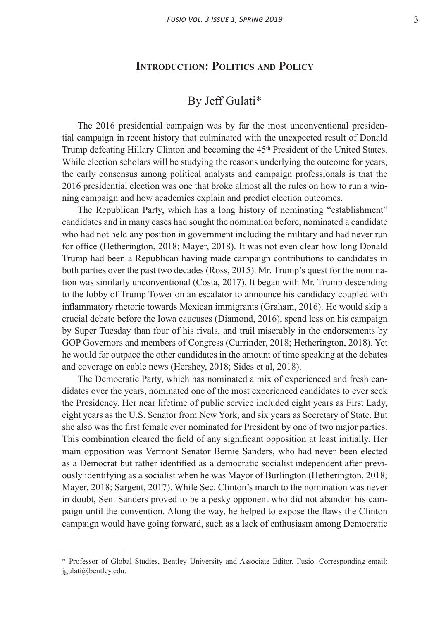## **Introduction: Politics and Policy**

## By Jeff Gulati\*

The 2016 presidential campaign was by far the most unconventional presidential campaign in recent history that culminated with the unexpected result of Donald Trump defeating Hillary Clinton and becoming the 45th President of the United States. While election scholars will be studying the reasons underlying the outcome for years, the early consensus among political analysts and campaign professionals is that the 2016 presidential election was one that broke almost all the rules on how to run a winning campaign and how academics explain and predict election outcomes.

The Republican Party, which has a long history of nominating "establishment" candidates and in many cases had sought the nomination before, nominated a candidate who had not held any position in government including the military and had never run for office (Hetherington, 2018; Mayer, 2018). It was not even clear how long Donald Trump had been a Republican having made campaign contributions to candidates in both parties over the past two decades (Ross, 2015). Mr. Trump's quest for the nomination was similarly unconventional (Costa, 2017). It began with Mr. Trump descending to the lobby of Trump Tower on an escalator to announce his candidacy coupled with inflammatory rhetoric towards Mexican immigrants (Graham, 2016). He would skip a crucial debate before the Iowa caucuses (Diamond, 2016), spend less on his campaign by Super Tuesday than four of his rivals, and trail miserably in the endorsements by GOP Governors and members of Congress (Currinder, 2018; Hetherington, 2018). Yet he would far outpace the other candidates in the amount of time speaking at the debates and coverage on cable news (Hershey, 2018; Sides et al, 2018).

The Democratic Party, which has nominated a mix of experienced and fresh candidates over the years, nominated one of the most experienced candidates to ever seek the Presidency. Her near lifetime of public service included eight years as First Lady, eight years as the U.S. Senator from New York, and six years as Secretary of State. But she also was the first female ever nominated for President by one of two major parties. This combination cleared the field of any significant opposition at least initially. Her main opposition was Vermont Senator Bernie Sanders, who had never been elected as a Democrat but rather identified as a democratic socialist independent after previously identifying as a socialist when he was Mayor of Burlington (Hetherington, 2018; Mayer, 2018; Sargent, 2017). While Sec. Clinton's march to the nomination was never in doubt, Sen. Sanders proved to be a pesky opponent who did not abandon his campaign until the convention. Along the way, he helped to expose the flaws the Clinton campaign would have going forward, such as a lack of enthusiasm among Democratic

<sup>\*</sup> Professor of Global Studies, Bentley University and Associate Editor, Fusio. Corresponding email: jgulati@bentley.edu.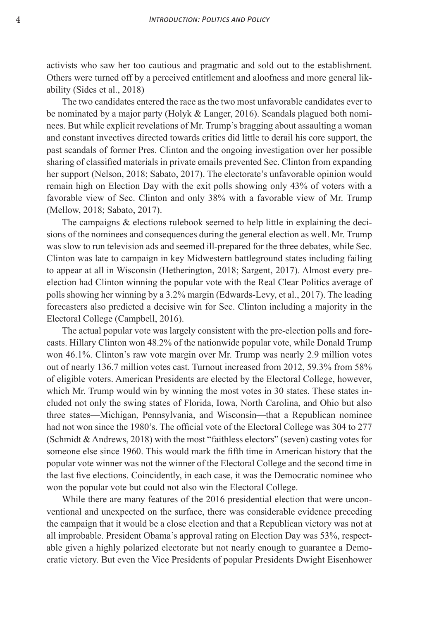activists who saw her too cautious and pragmatic and sold out to the establishment. Others were turned off by a perceived entitlement and aloofness and more general likability (Sides et al., 2018)

The two candidates entered the race as the two most unfavorable candidates ever to be nominated by a major party (Holyk & Langer, 2016). Scandals plagued both nominees. But while explicit revelations of Mr. Trump's bragging about assaulting a woman and constant invectives directed towards critics did little to derail his core support, the past scandals of former Pres. Clinton and the ongoing investigation over her possible sharing of classified materials in private emails prevented Sec. Clinton from expanding her support (Nelson, 2018; Sabato, 2017). The electorate's unfavorable opinion would remain high on Election Day with the exit polls showing only 43% of voters with a favorable view of Sec. Clinton and only 38% with a favorable view of Mr. Trump (Mellow, 2018; Sabato, 2017).

The campaigns & elections rulebook seemed to help little in explaining the decisions of the nominees and consequences during the general election as well. Mr. Trump was slow to run television ads and seemed ill-prepared for the three debates, while Sec. Clinton was late to campaign in key Midwestern battleground states including failing to appear at all in Wisconsin (Hetherington, 2018; Sargent, 2017). Almost every preelection had Clinton winning the popular vote with the Real Clear Politics average of polls showing her winning by a 3.2% margin (Edwards-Levy, et al., 2017). The leading forecasters also predicted a decisive win for Sec. Clinton including a majority in the Electoral College (Campbell, 2016).

The actual popular vote was largely consistent with the pre-election polls and forecasts. Hillary Clinton won 48.2% of the nationwide popular vote, while Donald Trump won 46.1%. Clinton's raw vote margin over Mr. Trump was nearly 2.9 million votes out of nearly 136.7 million votes cast. Turnout increased from 2012, 59.3% from 58% of eligible voters. American Presidents are elected by the Electoral College, however, which Mr. Trump would win by winning the most votes in 30 states. These states included not only the swing states of Florida, Iowa, North Carolina, and Ohio but also three states—Michigan, Pennsylvania, and Wisconsin—that a Republican nominee had not won since the 1980's. The official vote of the Electoral College was 304 to 277 (Schmidt & Andrews, 2018) with the most "faithless electors" (seven) casting votes for someone else since 1960. This would mark the fifth time in American history that the popular vote winner was not the winner of the Electoral College and the second time in the last five elections. Coincidently, in each case, it was the Democratic nominee who won the popular vote but could not also win the Electoral College.

While there are many features of the 2016 presidential election that were unconventional and unexpected on the surface, there was considerable evidence preceding the campaign that it would be a close election and that a Republican victory was not at all improbable. President Obama's approval rating on Election Day was 53%, respectable given a highly polarized electorate but not nearly enough to guarantee a Democratic victory. But even the Vice Presidents of popular Presidents Dwight Eisenhower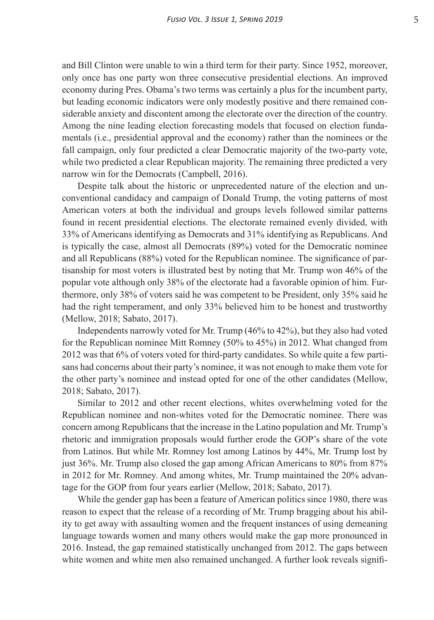and Bill Clinton were unable to win a third term for their party. Since 1952, moreover, only once has one party won three consecutive presidential elections. An improved economy during Pres. Obama's two terms was certainly a plus for the incumbent party, but leading economic indicators were only modestly positive and there remained considerable anxiety and discontent among the electorate over the direction of the country. Among the nine leading election forecasting models that focused on election fundamentals (i.e., presidential approval and the economy) rather than the nominees or the fall campaign, only four predicted a clear Democratic majority of the two-party vote, while two predicted a clear Republican majority. The remaining three predicted a very narrow win for the Democrats (Campbell, 2016).

Despite talk about the historic or unprecedented nature of the election and unconventional candidacy and campaign of Donald Trump, the voting patterns of most American voters at both the individual and groups levels followed similar patterns found in recent presidential elections. The electorate remained evenly divided, with 33% of Americans identifying as Democrats and 31% identifying as Republicans. And is typically the case, almost all Democrats (89%) voted for the Democratic nominee and all Republicans (88%) voted for the Republican nominee. The significance of partisanship for most voters is illustrated best by noting that Mr. Trump won 46% of the popular vote although only 38% of the electorate had a favorable opinion of him. Furthermore, only 38% of voters said he was competent to be President, only 35% said he had the right temperament, and only 33% believed him to be honest and trustworthy (Mellow, 2018; Sabato, 2017).

Independents narrowly voted for Mr. Trump (46% to 42%), but they also had voted for the Republican nominee Mitt Romney (50% to 45%) in 2012. What changed from 2012 was that 6% of voters voted for third-party candidates. So while quite a few partisans had concerns about their party's nominee, it was not enough to make them vote for the other party's nominee and instead opted for one of the other candidates (Mellow, 2018; Sabato, 2017).

Similar to 2012 and other recent elections, whites overwhelming voted for the Republican nominee and non-whites voted for the Democratic nominee. There was concern among Republicans that the increase in the Latino population and Mr. Trump's rhetoric and immigration proposals would further erode the GOP's share of the vote from Latinos. But while Mr. Romney lost among Latinos by 44%, Mr. Trump lost by just 36%. Mr. Trump also closed the gap among African Americans to 80% from 87% in 2012 for Mr. Romney. And among whites, Mr. Trump maintained the 20% advantage for the GOP from four years earlier (Mellow, 2018; Sabato, 2017).

While the gender gap has been a feature of American politics since 1980, there was reason to expect that the release of a recording of Mr. Trump bragging about his ability to get away with assaulting women and the frequent instances of using demeaning language towards women and many others would make the gap more pronounced in 2016. Instead, the gap remained statistically unchanged from 2012. The gaps between white women and white men also remained unchanged. A further look reveals signifi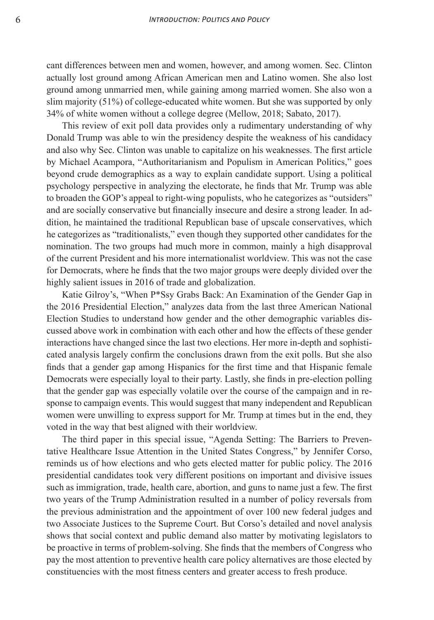cant differences between men and women, however, and among women. Sec. Clinton actually lost ground among African American men and Latino women. She also lost ground among unmarried men, while gaining among married women. She also won a slim majority (51%) of college-educated white women. But she was supported by only 34% of white women without a college degree (Mellow, 2018; Sabato, 2017).

This review of exit poll data provides only a rudimentary understanding of why Donald Trump was able to win the presidency despite the weakness of his candidacy and also why Sec. Clinton was unable to capitalize on his weaknesses. The first article by Michael Acampora, "Authoritarianism and Populism in American Politics," goes beyond crude demographics as a way to explain candidate support. Using a political psychology perspective in analyzing the electorate, he finds that Mr. Trump was able to broaden the GOP's appeal to right-wing populists, who he categorizes as "outsiders" and are socially conservative but financially insecure and desire a strong leader. In addition, he maintained the traditional Republican base of upscale conservatives, which he categorizes as "traditionalists," even though they supported other candidates for the nomination. The two groups had much more in common, mainly a high disapproval of the current President and his more internationalist worldview. This was not the case for Democrats, where he finds that the two major groups were deeply divided over the highly salient issues in 2016 of trade and globalization.

Katie Gilroy's, "When P\*Ssy Grabs Back: An Examination of the Gender Gap in the 2016 Presidential Election," analyzes data from the last three American National Election Studies to understand how gender and the other demographic variables discussed above work in combination with each other and how the effects of these gender interactions have changed since the last two elections. Her more in-depth and sophisticated analysis largely confirm the conclusions drawn from the exit polls. But she also finds that a gender gap among Hispanics for the first time and that Hispanic female Democrats were especially loyal to their party. Lastly, she finds in pre-election polling that the gender gap was especially volatile over the course of the campaign and in response to campaign events. This would suggest that many independent and Republican women were unwilling to express support for Mr. Trump at times but in the end, they voted in the way that best aligned with their worldview.

The third paper in this special issue, "Agenda Setting: The Barriers to Preventative Healthcare Issue Attention in the United States Congress," by Jennifer Corso, reminds us of how elections and who gets elected matter for public policy. The 2016 presidential candidates took very different positions on important and divisive issues such as immigration, trade, health care, abortion, and guns to name just a few. The first two years of the Trump Administration resulted in a number of policy reversals from the previous administration and the appointment of over 100 new federal judges and two Associate Justices to the Supreme Court. But Corso's detailed and novel analysis shows that social context and public demand also matter by motivating legislators to be proactive in terms of problem-solving. She finds that the members of Congress who pay the most attention to preventive health care policy alternatives are those elected by constituencies with the most fitness centers and greater access to fresh produce.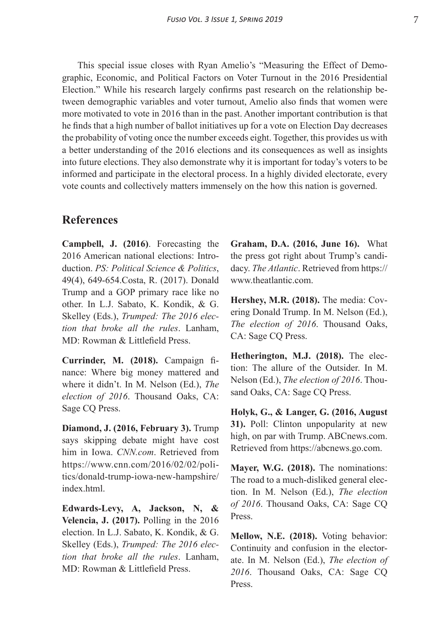This special issue closes with Ryan Amelio's "Measuring the Effect of Demographic, Economic, and Political Factors on Voter Turnout in the 2016 Presidential Election." While his research largely confirms past research on the relationship between demographic variables and voter turnout, Amelio also finds that women were more motivated to vote in 2016 than in the past. Another important contribution is that he finds that a high number of ballot initiatives up for a vote on Election Day decreases the probability of voting once the number exceeds eight. Together, this provides us with a better understanding of the 2016 elections and its consequences as well as insights into future elections. They also demonstrate why it is important for today's voters to be informed and participate in the electoral process. In a highly divided electorate, every vote counts and collectively matters immensely on the how this nation is governed.

## **References**

**Campbell, J. (2016)**. Forecasting the 2016 American national elections: Introduction. *PS: Political Science & Politics*, 49(4), 649-654.Costa, R. (2017). Donald Trump and a GOP primary race like no other. In L.J. Sabato, K. Kondik, & G. Skelley (Eds.), *Trumped: The 2016 election that broke all the rules*. Lanham, MD: Rowman & Littlefield Press.

**Currinder, M. (2018).** Campaign finance: Where big money mattered and where it didn't. In M. Nelson (Ed.), *The election of 2016*. Thousand Oaks, CA: Sage CQ Press.

**Diamond, J. (2016, February 3).** Trump says skipping debate might have cost him in Iowa. *CNN.com*. Retrieved from https://www.cnn.com/2016/02/02/politics/donald-trump-iowa-new-hampshire/ index html

**Edwards-Levy, A, Jackson, N, & Velencia, J. (2017).** Polling in the 2016 election. In L.J. Sabato, K. Kondik, & G. Skelley (Eds.), *Trumped: The 2016 election that broke all the rules*. Lanham, MD: Rowman & Littlefield Press.

**Graham, D.A. (2016, June 16).** What the press got right about Trump's candidacy. *The Atlantic*. Retrieved from https:// www.theatlantic.com.

**Hershey, M.R. (2018).** The media: Covering Donald Trump. In M. Nelson (Ed.), *The election of 2016*. Thousand Oaks, CA: Sage CQ Press.

**Hetherington, M.J. (2018).** The election: The allure of the Outsider. In M. Nelson (Ed.), *The election of 2016*. Thousand Oaks, CA: Sage CQ Press.

**Holyk, G., & Langer, G. (2016, August 31).** Poll: Clinton unpopularity at new high, on par with Trump. ABCnews.com. Retrieved from https://abcnews.go.com.

**Mayer, W.G. (2018).** The nominations: The road to a much-disliked general election. In M. Nelson (Ed.), *The election of 2016*. Thousand Oaks, CA: Sage CQ Press.

**Mellow, N.E. (2018).** Voting behavior: Continuity and confusion in the electorate. In M. Nelson (Ed.), *The election of 2016*. Thousand Oaks, CA: Sage CQ Press.